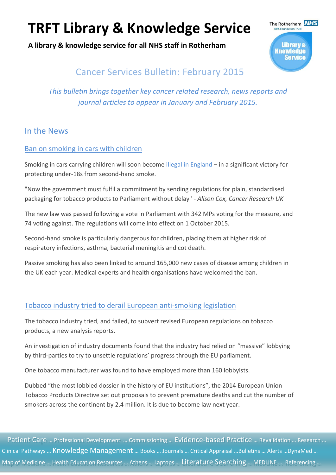**A library & knowledge service for all NHS staff in Rotherham**



## Cancer Services Bulletin: February 2015

*This bulletin brings together key cancer related research, news reports and journal articles to appear in January and February 2015.*

### In the News

#### [Ban on smoking in cars with children](http://m.bbc.co.uk/news/health-31310685)

Smoking in cars carrying children will soon become [illegal in England](https://www.gov.uk/government/news/smoking-in-cars-is-now-illegal) – in a significant victory for protecting under-18s from second-hand smoke.

"Now the government must fulfil a commitment by sending regulations for plain, standardised packaging for tobacco products to Parliament without delay" *- Alison Cox, Cancer Research UK*

The new law was passed following a vote in Parliament with 342 MPs voting for the measure, and 74 voting against. The regulations will come into effect on 1 October 2015.

Second-hand smoke is particularly dangerous for children, placing them at higher risk of respiratory infections, asthma, bacterial meningitis and cot death.

Passive smoking has also been linked to around 165,000 new cases of disease among children in the UK each year. Medical experts and health organisations have welcomed the ban.

### [Tobacco industry tried to derail European anti-smoking legislation](http://www.cancerresearchuk.org/about-us/cancer-news/news-report/2015-02-24-tobacco-industry-tried-to-derail-european-anti-smoking-legislation)

The tobacco industry tried, and failed, to subvert revised European regulations on tobacco products, a new analysis reports.

An investigation of industry documents found that the industry had relied on "massive" lobbying by third-parties to try to unsettle regulations' progress through the EU parliament.

One tobacco manufacturer was found to have employed more than 160 lobbyists.

Dubbed "the most lobbied dossier in the history of EU institutions", the 2014 European Union Tobacco Products Directive set out proposals to prevent premature deaths and cut the number of smokers across the continent by 2.4 million. It is due to become law next year.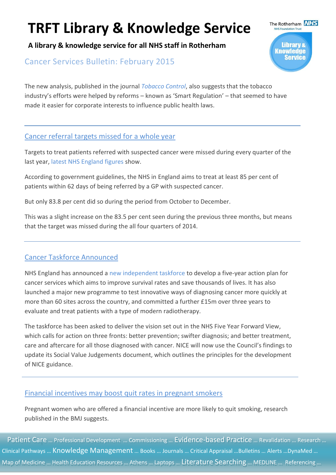**A library & knowledge service for all NHS staff in Rotherham**

### Cancer Services Bulletin: February 2015

The new analysis, published in the journal *[Tobacco Control](http://tobaccocontrol.bmj.com/content/early/2015/02/06/tobaccocontrol-2014-051919)*, also suggests that the tobacco industry's efforts were helped by reforms – known as 'Smart Regulation' – that seemed to have made it easier for corporate interests to influence public health laws.

#### [Cancer referral targets missed for a whole year](http://www.england.nhs.uk/statistics/2015/02/18/provider-based-cancer-waiting-times-for-q3-2014-15/)

Targets to treat patients referred with suspected cancer were missed during every quarter of the last year, [latest NHS England figures](http://www.england.nhs.uk/statistics/2015/02/18/provider-based-cancer-waiting-times-for-q3-2014-15/) show.

According to government guidelines, the NHS in England aims to treat at least 85 per cent of patients within 62 days of being referred by a GP with suspected cancer.

But only 83.8 per cent did so during the period from October to December.

This was a slight increase on the 83.5 per cent seen during the previous three months, but means that the target was missed during the all four quarters of 2014.

#### [Cancer Taskforce Announced](http://www.england.nhs.uk/2015/01/11/beat-cancer/)

NHS England has announced a [new independent taskforce](http://www.england.nhs.uk/2015/01/11/beat-cancer/) to develop a five-year action plan for cancer services which aims to improve survival rates and save thousands of lives. It has also launched a major new programme to test innovative ways of diagnosing cancer more quickly at more than 60 sites across the country, and committed a further £15m over three years to evaluate and treat patients with a type of modern radiotherapy.

The taskforce has been asked to deliver the vision set out in the NHS Five Year Forward View, which calls for action on three fronts: better prevention; swifter diagnosis; and better treatment, care and aftercare for all those diagnosed with cancer. NICE will now use the Council's findings to update its Social Value Judgements document, which outlines the principles for the development of NICE guidance.

#### Financial incentives may boost quit rates in pregnant smokers

Pregnant women who are offered a financial incentive are more likely to quit smoking, research published in the BMJ suggests.

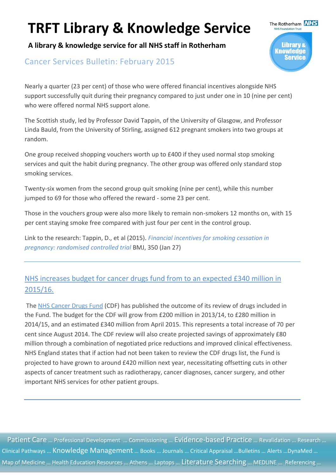**A library & knowledge service for all NHS staff in Rotherham**

### Cancer Services Bulletin: February 2015

Nearly a quarter (23 per cent) of those who were offered financial incentives alongside NHS support successfully quit during their pregnancy compared to just under one in 10 (nine per cent) who were offered normal NHS support alone.

The Rotherham **NHS** 

**Library &** Knowledge

The Scottish study, led by Professor David Tappin, of the University of Glasgow, and Professor Linda Bauld, from the University of Stirling, assigned 612 pregnant smokers into two groups at random.

One group received shopping vouchers worth up to £400 if they used normal stop smoking services and quit the habit during pregnancy. The other group was offered only standard stop smoking services.

Twenty-six women from the second group quit smoking (nine per cent), while this number jumped to 69 for those who offered the reward - some 23 per cent.

Those in the vouchers group were also more likely to remain non-smokers 12 months on, with 15 per cent staying smoke free compared with just four per cent in the control group.

Link to the research: Tappin, D., et al (2015). *[Financial incentives for smoking cessation in](http://www.bmj.com/content/bmj/350/bmj.h134.full.pdf)  [pregnancy: randomised controlled trial](http://www.bmj.com/content/bmj/350/bmj.h134.full.pdf)* BMJ, 350 (Jan 27)

## [NHS increases budget for cancer drugs fund from to an expected £340 million in](http://www.england.nhs.uk/2015/01/12/cancer-drug-budget/)  [2015/16.](http://www.england.nhs.uk/2015/01/12/cancer-drug-budget/)

The [NHS Cancer Drugs Fund](http://www.england.nhs.uk/2015/01/12/cancer-drug-budget/) (CDF) has published the outcome of its review of drugs included in the Fund. The budget for the CDF will grow from £200 million in 2013/14, to £280 million in 2014/15, and an estimated £340 million from April 2015. This represents a total increase of 70 per cent since August 2014. The CDF review will also create projected savings of approximately £80 million through a combination of negotiated price reductions and improved clinical effectiveness. NHS England states that if action had not been taken to review the CDF drugs list, the Fund is projected to have grown to around £420 million next year, necessitating offsetting cuts in other aspects of cancer treatment such as radiotherapy, cancer diagnoses, cancer surgery, and other important NHS services for other patient groups.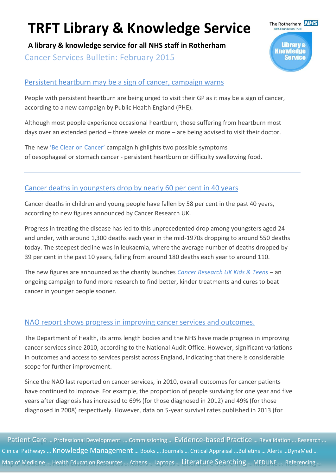**A library & knowledge service for all NHS staff in Rotherham** Cancer Services Bulletin: February 2015

#### [Persistent heartburn may be a sign of cancer, campaign warns](http://www.nhs.uk/be-clear-on-cancer/oesophagogastric-cancer/home)

People with persistent heartburn are being urged to visit their GP as it may be a sign of cancer, according to a new campaign by Public Health England (PHE).

Although most people experience occasional heartburn, those suffering from heartburn most days over an extended period – three weeks or more – are being advised to visit their doctor.

The new ['Be Clear on Cancer'](http://www.nhs.uk/be-clear-on-cancer/oesophagogastric-cancer/home) campaign highlights two possible symptoms of oesophageal or stomach cancer - persistent heartburn or difficulty swallowing food.

### [Cancer deaths in youngsters drop by nearly 60 per cent in 40 years](http://www.cancerresearchuk.org/about-us/cancer-news/press-release/2015-01-22-cancer-deaths-in-youngsters-drop-by-nearly-60-per-cent-in-40-years)

Cancer deaths in children and young people have fallen by 58 per cent in the past 40 years, according to new figures announced by Cancer Research UK.

Progress in treating the disease has led to this unprecedented drop among youngsters aged 24 and under, with around 1,300 deaths each year in the mid-1970s dropping to around 550 deaths today. The steepest decline was in leukaemia, where the average number of deaths dropped by 39 per cent in the past 10 years, falling from around 180 deaths each year to around 110.

The new figures are announced as the charity launches *[Cancer Research UK Kids & Teens](http://www.cancerresearchuk.org/support-us/donate/kidsandteens)* – an ongoing campaign to fund more research to find better, kinder treatments and cures to beat cancer in younger people sooner.

#### [NAO report shows progress in improving cancer services and outcomes.](http://www.nao.org.uk/report/progress-in-improving-cancer-services-and-outcomes/)

The Department of Health, its arms length bodies and the NHS have made progress in improving cancer services since 2010, according to the National Audit Office. However, significant variations in outcomes and access to services persist across England, indicating that there is considerable scope for further improvement.

Since the NAO last reported on cancer services, in 2010, overall outcomes for cancer patients have continued to improve. For example, the proportion of people surviving for one year and five years after diagnosis has increased to 69% (for those diagnosed in 2012) and 49% (for those diagnosed in 2008) respectively. However, data on 5-year survival rates published in 2013 (for

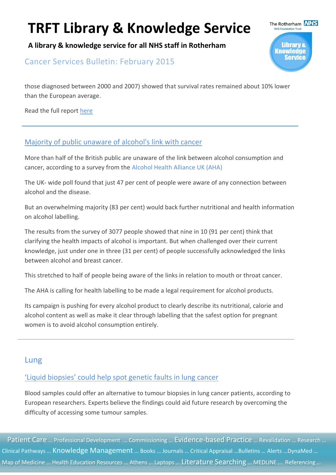**A library & knowledge service for all NHS staff in Rotherham**

Cancer Services Bulletin: February 2015

those diagnosed between 2000 and 2007) showed that survival rates remained about 10% lower than the European average.

Read the full report [here](http://www.nao.org.uk/wp-content/uploads/2015/01/Progress-improving-cancer-services-and-outcomes-in-England.pdf)

#### [Majority of public unaware of alcohol's link with cancer](http://www.cancerresearchuk.org/about-us/cancer-news/news-report/2015-01-07-majority-of-public-unaware-of-alcohols-link-with-cancer-0)

More than half of the British public are unaware of the link between alcohol consumption and cancer, according to a survey from the [Alcohol Health Alliance UK \(AHA\)](https://www.rcplondon.ac.uk/projects/alcohol-health-alliance-uk)

The UK- wide poll found that just 47 per cent of people were aware of any connection between alcohol and the disease.

But an overwhelming majority (83 per cent) would back further nutritional and health information on alcohol labelling.

The results from the survey of 3077 people showed that nine in 10 (91 per cent) think that clarifying the health impacts of alcohol is important. But when challenged over their current knowledge, just under one in three (31 per cent) of people successfully acknowledged the links between alcohol and breast cancer.

This stretched to half of people being aware of the links in relation to mouth or throat cancer.

The AHA is calling for health labelling to be made a legal requirement for alcohol products.

Its campaign is pushing for every alcohol product to clearly describe its nutritional, calorie and alcohol content as well as make it clear through labelling that the safest option for pregnant women is to avoid alcohol consumption entirely.

### Lung

## ['Liquid biopsies' could help spot genetic faults in lung cancer](http://www.cancerresearchuk.org/about-us/cancer-news/news-report/2015-02-27-liquid-biopsies-could-help-spot-genetic-faults-in-lung-cancer)

Blood samples could offer an alternative to tumour biopsies in lung cancer patients, according to European researchers. Experts believe the findings could aid future research by overcoming the difficulty of accessing some tumour samples.

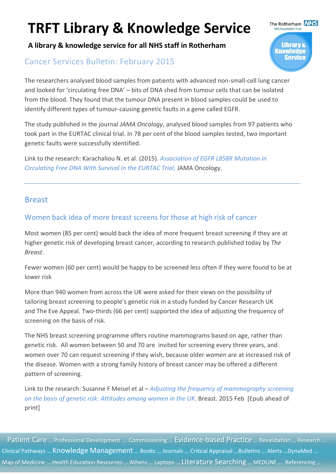**A library & knowledge service for all NHS staff in Rotherham**

## Cancer Services Bulletin: February 2015

The researchers analysed blood samples from patients with advanced non-small-cell lung cancer and looked for 'circulating free DNA' – bits of DNA shed from tumour cells that can be isolated from the blood. They found that the tumour DNA present in blood samples could be used to identify different types of tumour-causing genetic faults in a gene called EGFR.

The study published in the journal *JAMA Oncology*, analysed blood samples from 97 patients who took part in the EURTAC clinical trial. In 78 per cent of the blood samples tested, two important genetic faults were successfully identified.

Link to the research: Karachaliou N. et al. (2015). *[Association of EGFR L858R Mutation in](http://oncology.jamanetwork.com/article.aspx?articleid=2120916)  [Circulating Free DNA With Survival in the EURTAC Trial,](http://oncology.jamanetwork.com/article.aspx?articleid=2120916)* JAMA Oncology.

#### Breast

### Women back idea of more breast screens for those at high risk of cancer

Most women (85 per cent) would back the idea of more frequent breast screening if they are at higher genetic risk of developing breast cancer, according to research published today by *The Breast*.

Fewer women (60 per cent) would be happy to be screened less often if they were found to be at lower risk

More than 940 women from across the UK were asked for their views on the possibility of tailoring breast screening to people's genetic risk in a study funded by Cancer Research UK and The Eve Appeal. Two-thirds (66 per cent) supported the idea of adjusting the frequency of screening on the basis of risk.

The NHS breast screening programme offers routine mammograms based on age, rather than genetic risk. All women between 50 and 70 are invited for screening every three years, and women over 70 can request screening if they wish, because older women are at increased risk of the disease. Women with a strong family history of breast cancer may be offered a different pattern of screening.

Link to the research: Susanne F Meisel et al – *[Adjusting the frequency of mammography screening](http://www.thebreastonline.com/article/S0960-9776(15)00016-8/pdf)  [on the basis of genetic risk: Attitudes among women in the UK](http://www.thebreastonline.com/article/S0960-9776(15)00016-8/pdf)*. Breast. 2015 Feb [Epub ahead of print]

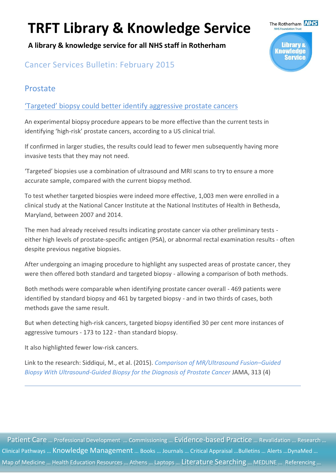**A library & knowledge service for all NHS staff in Rotherham**



## Cancer Services Bulletin: February 2015

### Prostate

### ['Targeted' biopsy could better identify aggressive prostate cancers](http://www.cancerresearchuk.org/about-us/cancer-news/news-report/2015-01-29-targeted-biopsy-could-better-identify-aggressive-prostate-cancers)

An experimental biopsy procedure appears to be more effective than the current tests in identifying 'high-risk' prostate cancers, according to a US clinical trial.

If confirmed in larger studies, the results could lead to fewer men subsequently having more invasive tests that they may not need.

'Targeted' biopsies use a combination of ultrasound and MRI scans to try to ensure a more accurate sample, compared with the current biopsy method.

To test whether targeted biospies were indeed more effective, 1,003 men were enrolled in a clinical study at the National Cancer Institute at the National Institutes of Health in Bethesda, Maryland, between 2007 and 2014.

The men had already received results indicating prostate cancer via other preliminary tests either high levels of prostate-specific antigen (PSA), or abnormal rectal examination results - often despite previous negative biopsies.

After undergoing an imaging procedure to highlight any suspected areas of prostate cancer, they were then offered both standard and targeted biopsy - allowing a comparison of both methods.

Both methods were comparable when identifying prostate cancer overall - 469 patients were identified by standard biopsy and 461 by targeted biopsy - and in two thirds of cases, both methods gave the same result.

But when detecting high-risk cancers, targeted biopsy identified 30 per cent more instances of aggressive tumours - 173 to 122 - than standard biopsy.

It also highlighted fewer low-risk cancers.

Link to the research: Siddiqui, M., et al. (2015). *[Comparison of MR/Ultrasound Fusion](http://jama.jamanetwork.com/article.aspx?articleid=2091987)–Guided [Biopsy With Ultrasound-Guided Biopsy for the Diagnosis of Prostate Cancer](http://jama.jamanetwork.com/article.aspx?articleid=2091987)* JAMA, 313 (4)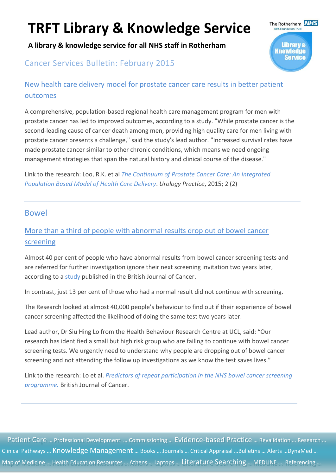**A library & knowledge service for all NHS staff in Rotherham**

## Cancer Services Bulletin: February 2015



## New health care delivery model for prostate cancer care results in better patient outcomes

A comprehensive, population-based regional health care management program for men with prostate cancer has led to improved outcomes, according to a study. "While prostate cancer is the second-leading cause of cancer death among men, providing high quality care for men living with prostate cancer presents a challenge," said the study's lead author. "Increased survival rates have made prostate cancer similar to other chronic conditions, which means we need ongoing management strategies that span the natural history and clinical course of the disease."

Link to the research: Loo, R.K. et al *[The Continuum of Prostate Cancer Care: An Integrated](http://www.urologypracticejournal.com/article/S2352-0779(14)00152-6/abstract)  [Population Based Model of Health Care Delivery](http://www.urologypracticejournal.com/article/S2352-0779(14)00152-6/abstract)*. *Urology Practice*, 2015; 2 (2)

#### Bowel

## More than a third of people with abnormal results drop out of bowel cancer screening

Almost 40 per cent of people who have abnormal results from bowel cancer screening tests and are referred for further investigation ignore their next screening invitation two years later, according to a [study](http://www.nature.com/bjc/journal/vaop/ncurrent/full/bjc2014569a.html) published in the British Journal of Cancer.

In contrast, just 13 per cent of those who had a normal result did not continue with screening.

The Research looked at almost 40,000 people's behaviour to find out if their experience of bowel cancer screening affected the likelihood of doing the same test two years later.

Lead author, Dr Siu Hing Lo from the Health Behaviour Research Centre at UCL, said: "Our research has identified a small but high risk group who are failing to continue with bowel cancer screening tests. We urgently need to understand why people are dropping out of bowel cancer screening and not attending the follow up investigations as we know the test saves lives."

Link to the research: Lo et al. *Predictors of repeat participation in the NHS bowel cancer screening programme.* British Journal of Cancer.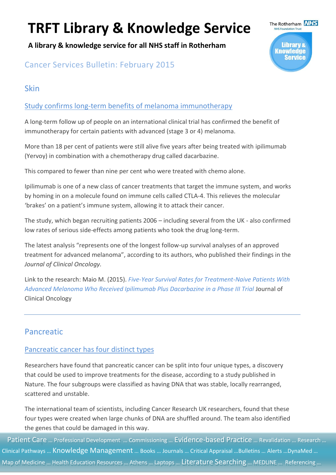**A library & knowledge service for all NHS staff in Rotherham**



## Cancer Services Bulletin: February 2015

## Skin

### [Study confirms long-term benefits of melanoma immunotherapy](http://www.cancerresearchuk.org/about-us/cancer-news/news-report/2015-02-24-study-confirms-long-term-benefits-of-melanoma-immunotherapy-0)

A long-term follow up of people on an international clinical trial has confirmed the benefit of immunotherapy for certain patients with advanced (stage 3 or 4) melanoma.

More than 18 per cent of patients were still alive five years after being treated with ipilimumab (Yervoy) in combination with a chemotherapy drug called dacarbazine.

This compared to fewer than nine per cent who were treated with chemo alone.

Ipilimumab is one of a new class of cancer treatments that target the immune system, and works by homing in on a molecule found on immune cells called CTLA-4. This relieves the molecular 'brakes' on a patient's immune system, allowing it to attack their cancer.

The study, which began recruiting patients 2006 – including several from the UK - also confirmed low rates of serious side-effects among patients who took the drug long-term.

The latest analysis "represents one of the longest follow-up survival analyses of an approved treatment for advanced melanoma", according to its authors, who published their findings in the *Journal of Clinical Oncology.*

Link to the research: Maio M. (2015). *[Five-Year Survival Rates for Treatment-Naive Patients With](http://jco.ascopubs.org/content/early/2015/02/18/JCO.2014.56.6018.abstract)  [Advanced Melanoma Who Received Ipilimumab Plus Dacarbazine in a Phase III Trial](http://jco.ascopubs.org/content/early/2015/02/18/JCO.2014.56.6018.abstract)* Journal of Clinical Oncology

## Pancreatic

### [Pancreatic cancer has four distinct types](http://www.cancerresearchuk.org/about-us/cancer-news/press-release/2015-02-25-pancreatic-cancer-has-four-distinct-types)

Researchers have found that pancreatic cancer can be split into four unique types, a discovery that could be used to improve treatments for the disease, according to a study published in Nature. The four subgroups were classified as having DNA that was stable, locally rearranged, scattered and unstable.

The international team of scientists, including Cancer Research UK researchers, found that these four types were created when large chunks of DNA are shuffled around. The team also identified the genes that could be damaged in this way.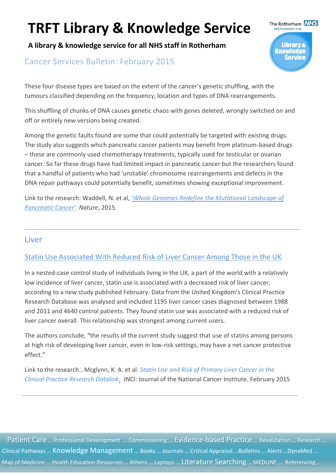**A library & knowledge service for all NHS staff in Rotherham**

### Cancer Services Bulletin: February 2015

These four disease types are based on the extent of the cancer's genetic shuffling, with the tumours classified depending on the frequency, location and types of DNA rearrangements.

This shuffling of chunks of DNA causes genetic chaos with genes deleted, wrongly switched on and off or entirely new versions being created.

Among the genetic faults found are some that could potentially be targeted with existing drugs. The study also suggests which pancreatic cancer patients may benefit from platinum-based drugs – these are commonly used chemotherapy treatments, typically used for testicular or ovarian cancer. So far these drugs have had limited impact in pancreatic cancer but the researchers found that a handful of patients who had 'unstable' chromosome rearrangements and defects in the DNA repair pathways could potentially benefit, sometimes showing exceptional improvement.

Link to the research: Waddell, N. et al, '*[Whole Genomes Redefine the Mutational Landscape of](http://www.nature.com/nature/journal/v518/n7540/full/nature14169.html)  [Pancreatic Cancer'](http://www.nature.com/nature/journal/v518/n7540/full/nature14169.html)*. *Nature*, 2015.

#### Liver

#### [Statin Use Associated With Reduced Risk of Liver Cancer Among Those in the UK](http://jnci.oxfordjournals.org/content/107/4/djv009)

In a nested-case control study of individuals living in the UK, a part of the world with a relatively low incidence of liver cancer, statin use is associated with a decreased risk of liver cancer, according to a new study published February. Data from the United Kingdom's Clinical Practice Research Database was analysed and included 1195 liver cancer cases diagnosed between 1988 and 2011 and 4640 control patients. They found statin use was associated with a reduced risk of liver cancer overall. This relationship was strongest among current users.

The authors conclude, "the results of the current study suggest that use of statins among persons at high risk of developing liver cancer, even in low-risk settings, may have a net cancer protective effect."

Link to the research:. Mcglynn, K. A. et al. *[Statin Use and Risk of Primary Liver Cancer in the](http://jnci.oxfordjournals.org/content/107/4/djv009.full.pdf+html)  [Clinical Practice Research Datalink](http://jnci.oxfordjournals.org/content/107/4/djv009.full.pdf+html)*. JNCI: Journal of the National Cancer Institute*.* February 2015

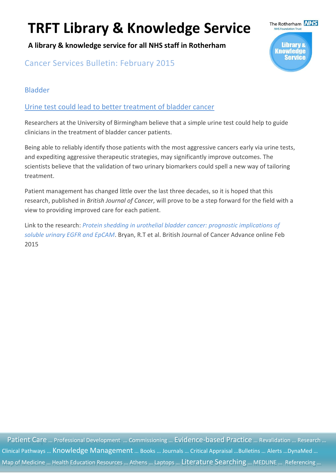**A library & knowledge service for all NHS staff in Rotherham**

Cancer Services Bulletin: February 2015

### Bladder

[Urine test could lead to better treatment of bladder cancer](http://www.ncbi.nlm.nih.gov/pubmed/25719831)

Researchers at the University of Birmingham believe that a simple urine test could help to guide clinicians in the treatment of bladder cancer patients.

Being able to reliably identify those patients with the most aggressive cancers early via urine tests, and expediting aggressive therapeutic strategies, may significantly improve outcomes. The scientists believe that the validation of two urinary biomarkers could spell a new way of tailoring treatment.

Patient management has changed little over the last three decades, so it is hoped that this research, published in *British Journal of Cancer*, will prove to be a step forward for the field with a view to providing improved care for each patient.

Link to the research: *[Protein shedding in urothelial bladder cancer: prognostic implications of](http://www.nature.com/bjc/journal/vaop/ncurrent/pdf/bjc201521a.pdf)  [soluble urinary EGFR and EpCAM](http://www.nature.com/bjc/journal/vaop/ncurrent/pdf/bjc201521a.pdf)*. Bryan, R.T et al. British Journal of Cancer Advance online Feb 2015